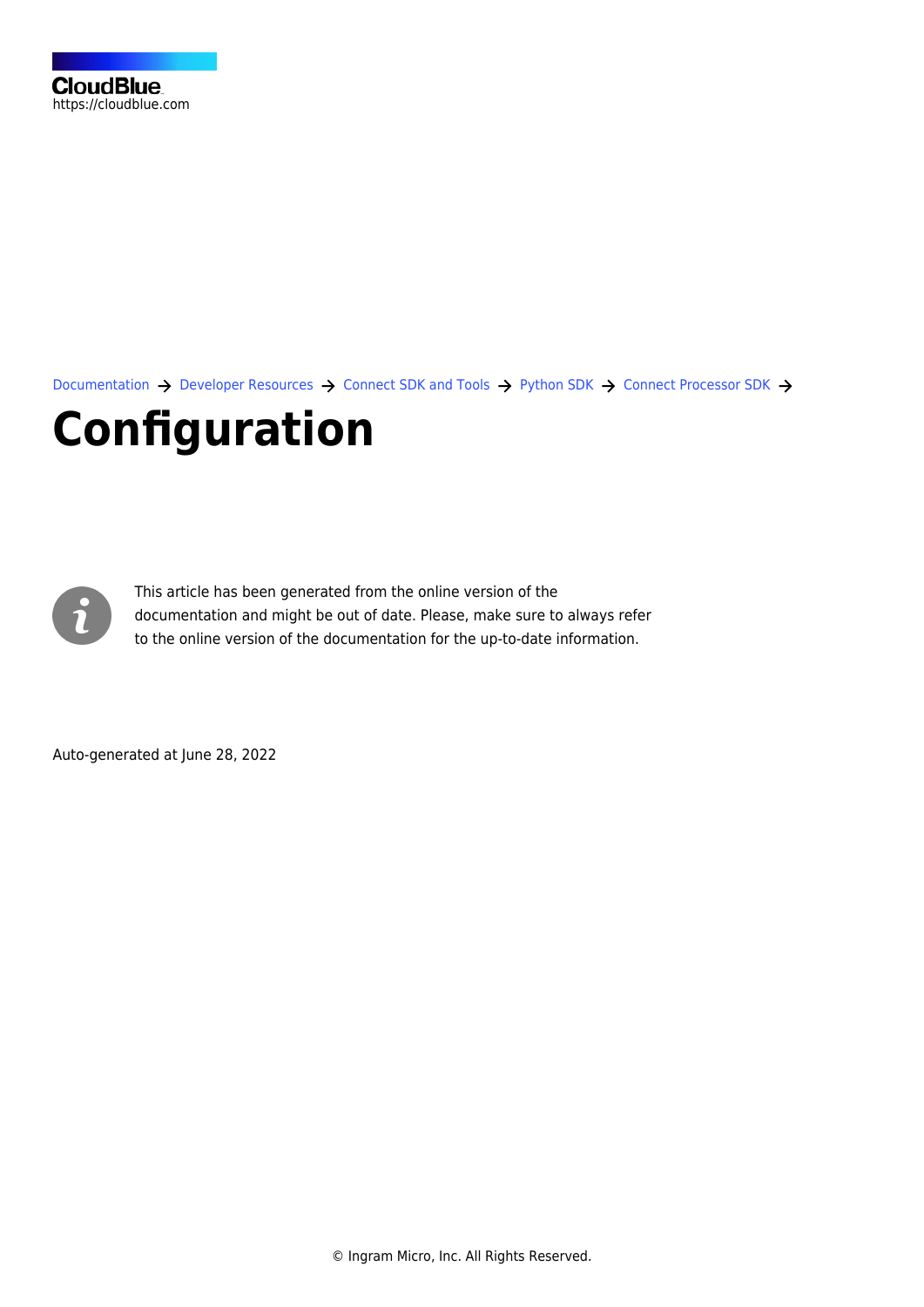

[Documentation](https://connect.cloudblue.com/documentation)  $\rightarrow$  [Developer Resources](https://connect.cloudblue.com/community/developers/)  $\rightarrow$  [Connect SDK and Tools](https://connect.cloudblue.com/community/developers/sdk/)  $\rightarrow$  [Python SDK](https://connect.cloudblue.com/community/developers/sdk/python-sdk/)  $\rightarrow$  [Connect Processor SDK](https://connect.cloudblue.com/community/developers/sdk/python-sdk/connect-processor-sdk/)  $\rightarrow$ 

# **[Configuration](https://connect.cloudblue.com/community/developers/sdk/python-sdk/connect-processor-sdk/configuration/)**



This article has been generated from the online version of the documentation and might be out of date. Please, make sure to always refer to the online version of the documentation for the up-to-date information.

Auto-generated at June 28, 2022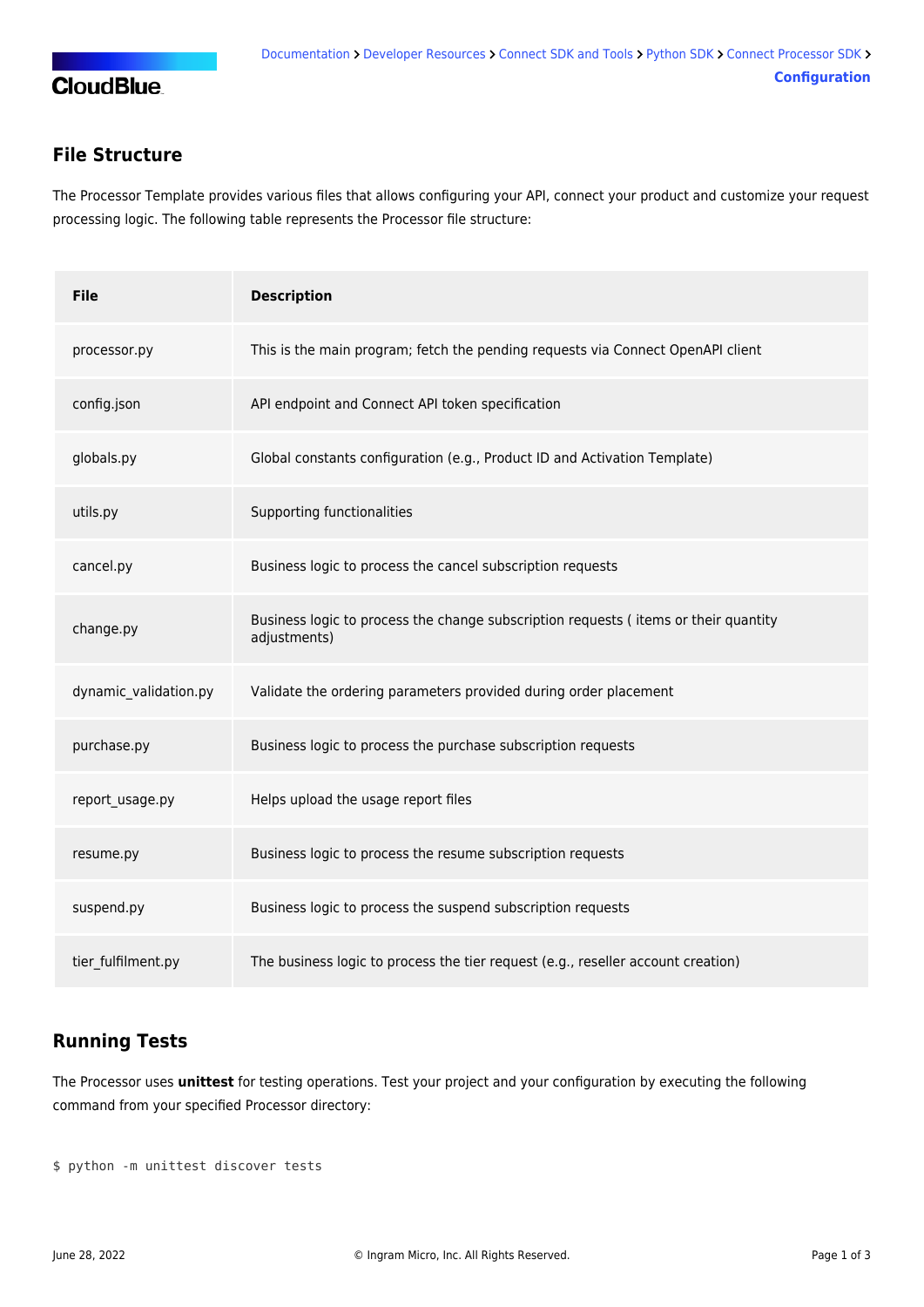

#### **File Structure**

The Processor Template provides various files that allows configuring your API, connect your product and customize your request processing logic. The following table represents the Processor file structure:

| <b>File</b>           | <b>Description</b>                                                                                  |
|-----------------------|-----------------------------------------------------------------------------------------------------|
| processor.py          | This is the main program; fetch the pending requests via Connect OpenAPI client                     |
| config.json           | API endpoint and Connect API token specification                                                    |
| globals.py            | Global constants configuration (e.g., Product ID and Activation Template)                           |
| utils.py              | Supporting functionalities                                                                          |
| cancel.py             | Business logic to process the cancel subscription requests                                          |
| change.py             | Business logic to process the change subscription requests (items or their quantity<br>adjustments) |
| dynamic validation.py | Validate the ordering parameters provided during order placement                                    |
| purchase.py           | Business logic to process the purchase subscription requests                                        |
| report_usage.py       | Helps upload the usage report files                                                                 |
| resume.py             | Business logic to process the resume subscription requests                                          |
| suspend.py            | Business logic to process the suspend subscription requests                                         |
| tier fulfilment.py    | The business logic to process the tier request (e.g., reseller account creation)                    |

### **Running Tests**

The Processor uses **unittest** for testing operations. Test your project and your configuration by executing the following command from your specified Processor directory:

\$ python -m unittest discover tests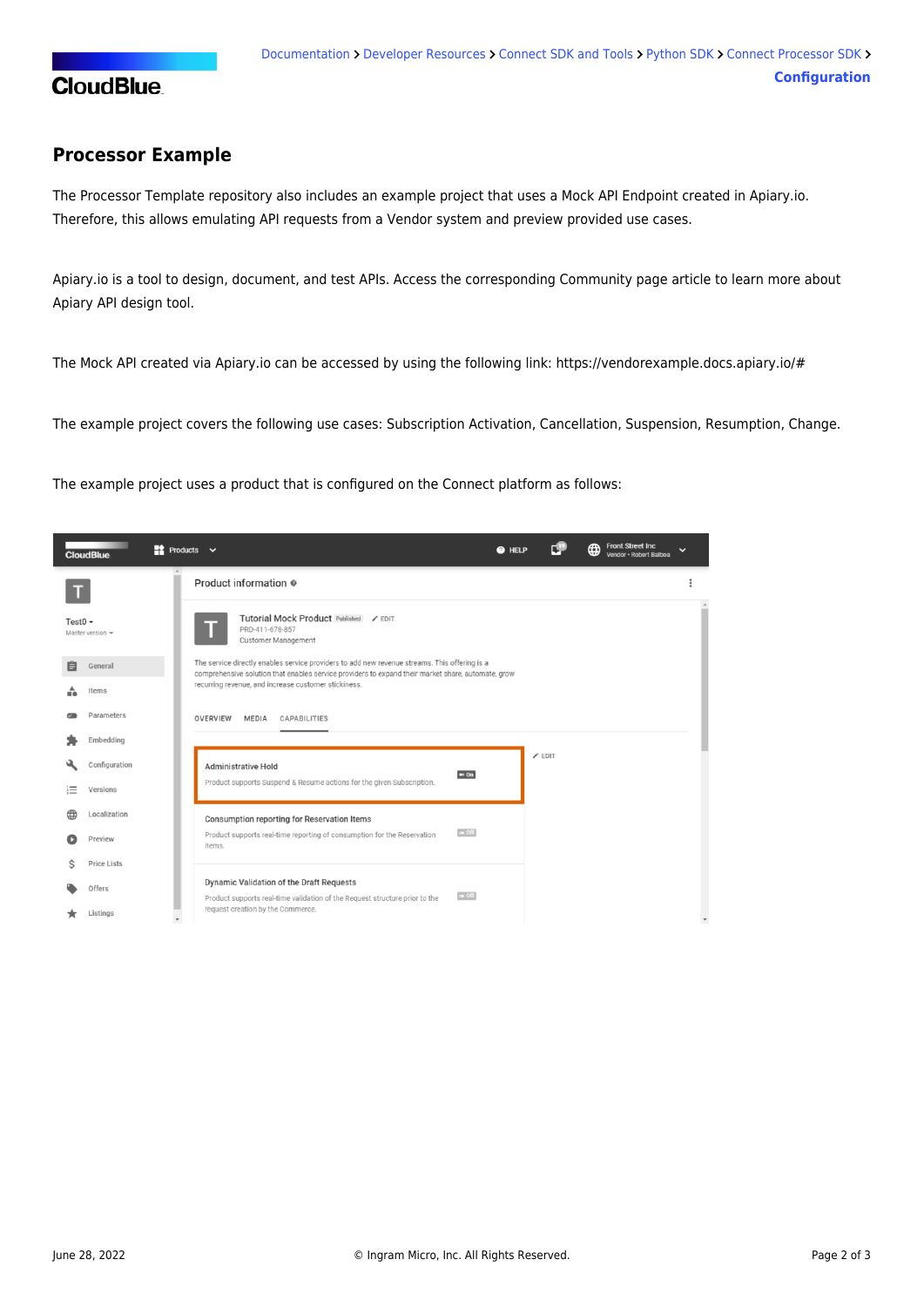

#### **Processor Example**

The Processor Template repository also includes [an example project](https://github.com/cloudblue/connect-processor-template-for-python/tree/main/examples/connect_processor_example) that uses a Mock API Endpoint created in [Apiary.io.](http://Apiary.io) Therefore, this allows emulating API requests from a Vendor system and preview provided use cases.

Apiary.io is a tool to design, document, and test APIs. Access the [corresponding Community page article](https://connect.cloudblue.com/community/sdk/vendor-scenario-example/apiary-api-design-tool/) to learn more about Apiary API design tool.

The Mock API created via Apiary.io can be accessed by using the following link:<https://vendorexample.docs.apiary.io/#>

The example project covers the following use cases: [Subscription Activation,](https://connect.cloudblue.com/community/sdk/python-sdk/connect-processor-sdk/use-cases/subscription-activation/) [Cancellation](https://connect.cloudblue.com/community/sdk/python-sdk/connect-processor-sdk/use-cases/subscription-cancelation/), [Suspension,](https://connect.cloudblue.com/community/sdk/python-sdk/connect-processor-sdk/use-cases/subscription-suspension/) [Resumption](https://connect.cloudblue.com/community/sdk/python-sdk/connect-processor-sdk/use-cases/subscription-resumption/), [Change](https://connect.cloudblue.com/community/sdk/python-sdk/connect-processor-sdk/use-cases/subscription-change/).

The example project uses a product that is configured on the Connect platform as follows:

|              | <b>CloudBlue</b>      | $\Rightarrow$ Products $\lor$                                                                                                                                                                       | @ HELP |               | <b>Front Street Inc</b><br>⊕<br>Vendor · Robert Balboa | $\check{ }$ |
|--------------|-----------------------|-----------------------------------------------------------------------------------------------------------------------------------------------------------------------------------------------------|--------|---------------|--------------------------------------------------------|-------------|
|              |                       | Product information @                                                                                                                                                                               |        |               |                                                        |             |
| Test0 $\sim$ | Master version $\sim$ | Tutorial Mock Product Published / EDIT<br>PRD-411-678-857<br>Customer Management                                                                                                                    |        |               |                                                        |             |
| 自            | General               | The service directly enables service providers to add new revenue streams. This offering is a<br>comprehensive solution that enables service providers to expand their market share, automate, grow |        |               |                                                        |             |
|              | Items                 | recurring revenue, and increase customer stickiness.                                                                                                                                                |        |               |                                                        |             |
|              | Parameters            | OVERVIEW<br><b>MEDIA</b><br><b>CAPABILITIES</b>                                                                                                                                                     |        |               |                                                        |             |
|              | Embedding             |                                                                                                                                                                                                     |        |               |                                                        |             |
|              | Configuration         | Administrative Hold<br>$= 0n$                                                                                                                                                                       |        | $\angle$ EDIT |                                                        |             |
| $:=$         | Versions              | Product supports Suspend & Resume actions for the given Subscription.                                                                                                                               |        |               |                                                        |             |
|              | Localization          | Consumption reporting for Reservation Items                                                                                                                                                         |        |               |                                                        |             |
|              | Preview               | $\bullet$ Off<br>Product supports real-time reporting of consumption for the Reservation<br>items.                                                                                                  |        |               |                                                        |             |
| Ŝ            | <b>Price Lists</b>    |                                                                                                                                                                                                     |        |               |                                                        |             |
|              | Offers                | Dynamic Validation of the Draft Requests<br>$\bullet$ Off<br>Product supports real-time validation of the Request structure prior to the                                                            |        |               |                                                        |             |
|              | Listings              | request creation by the Commerce.                                                                                                                                                                   |        |               |                                                        |             |